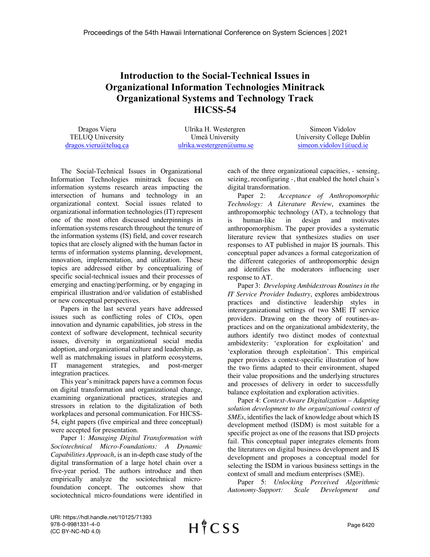## **Introduction to the Social-Technical Issues in Organizational Information Technologies Minitrack Organizational Systems and Technology Track HICSS-54**

Dragos Vieru TELUQ University dragos.vieru@teluq.ca

Ulrika H. Westergren Umeå University ulrika.westergren@umu.se

Simeon Vidolov University College Dublin simeon.vidolov1@ucd.ie

The Social-Technical Issues in Organizational Information Technologies minitrack focuses on information systems research areas impacting the intersection of humans and technology in an organizational context. Social issues related to organizational information technologies (IT) represent one of the most often discussed underpinnings in information systems research throughout the tenure of the information systems (IS) field, and cover research topics that are closely aligned with the human factor in terms of information systems planning, development, innovation, implementation, and utilization. These topics are addressed either by conceptualizing of specific social-technical issues and their processes of emerging and enacting/performing, or by engaging in empirical illustration and/or validation of established or new conceptual perspectives.

Papers in the last several years have addressed issues such as conflicting roles of CIOs, open innovation and dynamic capabilities, job stress in the context of software development, technical security issues, diversity in organizational social media adoption, and organizational culture and leadership, as well as matchmaking issues in platform ecosystems, IT management strategies, and post-merger integration practices.

This year's minitrack papers have a common focus on digital transformation and organizational change, examining organizational practices, strategies and stressors in relation to the digitalization of both workplaces and personal communication. For HICSS-54, eight papers (five empirical and three conceptual) were accepted for presentation.

Paper 1: *Managing Digital Transformation with Sociotechnical Micro-Foundations: A Dynamic Capabilities Approach*, is an in-depth case study of the digital transformation of a large hotel chain over a five-year period. The authors introduce and then empirically analyze the sociotechnical microfoundation concept. The outcomes show that sociotechnical micro-foundations were identified in

each of the three organizational capacities, - sensing, seizing, reconfiguring -, that enabled the hotel chain's digital transformation.

Paper 2: *Acceptance of Anthropomorphic Technology: A Literature Review*, examines the anthropomorphic technology (AT), a technology that is human-like in design and motivates anthropomorphism. The paper provides a systematic literature review that synthesizes studies on user responses to AT published in major IS journals. This conceptual paper advances a formal categorization of the different categories of anthropomorphic design and identifies the moderators influencing user response to AT.

Paper 3: *Developing Ambidextrous Routines in the IT Service Provider Industry*, explores ambidextrous practices and distinctive leadership styles in interorganizational settings of two SME IT service providers. Drawing on the theory of routines-aspractices and on the organizational ambidexterity, the authors identify two distinct modes of contextual ambidexterity: 'exploration for exploitation' and 'exploration through exploitation'. This empirical paper provides a context-specific illustration of how the two firms adapted to their environment, shaped their value propositions and the underlying structures and processes of delivery in order to successfully balance exploitation and exploration activities.

Paper 4: *Context-Aware Digitalization – Adapting solution development to the organizational context of SMEs*, identifies the lack of knowledge about which IS development method (ISDM) is most suitable for a specific project as one of the reasons that ISD projects fail. This conceptual paper integrates elements from the literatures on digital business development and IS development and proposes a conceptual model for selecting the ISDM in various business settings in the context of small and medium enterprises (SME).

Paper 5: *Unlocking Perceived Algorithmic Autonomy-Support: Scale Development and* 

URI: https://hdl.handle.net/10125/71393 978-0-9981331-4-0 (CC BY-NC-ND 4.0)